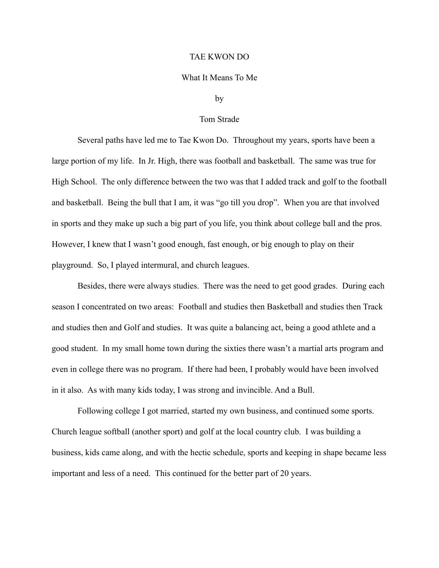## TAE KWON DO

## What It Means To Me

## by

## Tom Strade

 Several paths have led me to Tae Kwon Do. Throughout my years, sports have been a large portion of my life. In Jr. High, there was football and basketball. The same was true for High School. The only difference between the two was that I added track and golf to the football and basketball. Being the bull that I am, it was "go till you drop". When you are that involved in sports and they make up such a big part of you life, you think about college ball and the pros. However, I knew that I wasn't good enough, fast enough, or big enough to play on their playground. So, I played intermural, and church leagues.

 Besides, there were always studies. There was the need to get good grades. During each season I concentrated on two areas: Football and studies then Basketball and studies then Track and studies then and Golf and studies. It was quite a balancing act, being a good athlete and a good student. In my small home town during the sixties there wasn't a martial arts program and even in college there was no program. If there had been, I probably would have been involved in it also. As with many kids today, I was strong and invincible. And a Bull.

 Following college I got married, started my own business, and continued some sports. Church league softball (another sport) and golf at the local country club. I was building a business, kids came along, and with the hectic schedule, sports and keeping in shape became less important and less of a need. This continued for the better part of 20 years.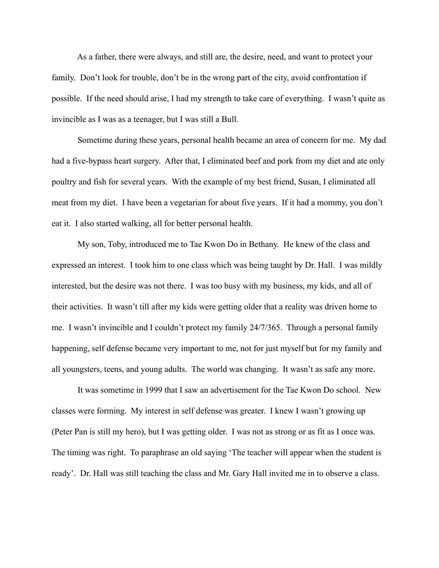As a father, there were always, and still are, the desire, need, and want to protect your family. Don't look for trouble, don't be in the wrong part of the city, avoid confrontation if possible. If the need should arise, I had my strength to take care of everything. I wasn't quite as invincible as I was as a teenager, but I was still a Bull.

 Sometime during these years, personal health became an area of concern for me. My dad had a five-bypass heart surgery. After that, I eliminated beef and pork from my diet and ate only poultry and fish for several years. With the example of my best friend, Susan, I eliminated all meat from my diet. I have been a vegetarian for about five years. If it had a mommy, you don't eat it. I also started walking, all for better personal health.

 My son, Toby, introduced me to Tae Kwon Do in Bethany. He knew of the class and expressed an interest. I took him to one class which was being taught by Dr. Hall. I was mildly interested, but the desire was not there. I was too busy with my business, my kids, and all of their activities. It wasn't till after my kids were getting older that a reality was driven home to me. I wasn't invincible and I couldn't protect my family 24/7/365. Through a personal family happening, self defense became very important to me, not for just myself but for my family and all youngsters, teens, and young adults. The world was changing. It wasn't as safe any more.

 It was sometime in 1999 that I saw an advertisement for the Tae Kwon Do school. New classes were forming. My interest in self defense was greater. I knew I wasn't growing up (Peter Pan is still my hero), but I was getting older. I was not as strong or as fit as I once was. The timing was right. To paraphrase an old saying 'The teacher will appear when the student is ready'. Dr. Hall was still teaching the class and Mr. Gary Hall invited me in to observe a class.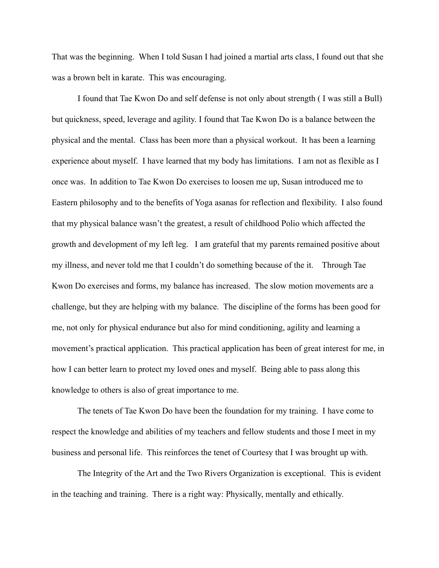That was the beginning. When I told Susan I had joined a martial arts class, I found out that she was a brown belt in karate. This was encouraging.

 I found that Tae Kwon Do and self defense is not only about strength ( I was still a Bull) but quickness, speed, leverage and agility. I found that Tae Kwon Do is a balance between the physical and the mental. Class has been more than a physical workout. It has been a learning experience about myself. I have learned that my body has limitations. I am not as flexible as I once was. In addition to Tae Kwon Do exercises to loosen me up, Susan introduced me to Eastern philosophy and to the benefits of Yoga asanas for reflection and flexibility. I also found that my physical balance wasn't the greatest, a result of childhood Polio which affected the growth and development of my left leg. I am grateful that my parents remained positive about my illness, and never told me that I couldn't do something because of the it. Through Tae Kwon Do exercises and forms, my balance has increased. The slow motion movements are a challenge, but they are helping with my balance. The discipline of the forms has been good for me, not only for physical endurance but also for mind conditioning, agility and learning a movement's practical application. This practical application has been of great interest for me, in how I can better learn to protect my loved ones and myself. Being able to pass along this knowledge to others is also of great importance to me.

 The tenets of Tae Kwon Do have been the foundation for my training. I have come to respect the knowledge and abilities of my teachers and fellow students and those I meet in my business and personal life. This reinforces the tenet of Courtesy that I was brought up with.

 The Integrity of the Art and the Two Rivers Organization is exceptional. This is evident in the teaching and training. There is a right way: Physically, mentally and ethically.